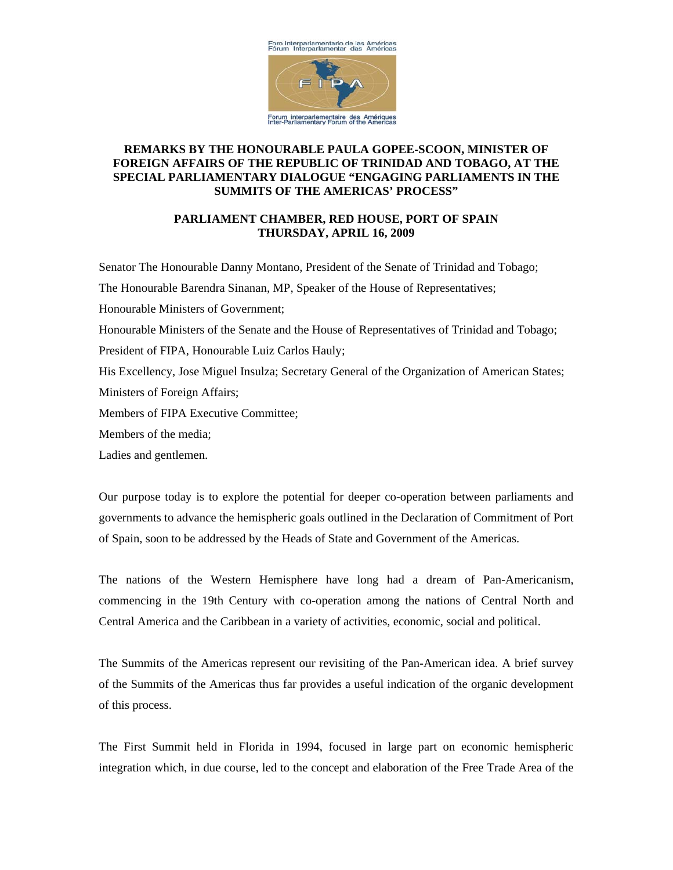

## **REMARKS BY THE HONOURABLE PAULA GOPEE-SCOON, MINISTER OF FOREIGN AFFAIRS OF THE REPUBLIC OF TRINIDAD AND TOBAGO, AT THE SPECIAL PARLIAMENTARY DIALOGUE "ENGAGING PARLIAMENTS IN THE SUMMITS OF THE AMERICAS' PROCESS"**

## **PARLIAMENT CHAMBER, RED HOUSE, PORT OF SPAIN THURSDAY, APRIL 16, 2009**

Senator The Honourable Danny Montano, President of the Senate of Trinidad and Tobago; The Honourable Barendra Sinanan, MP, Speaker of the House of Representatives; Honourable Ministers of Government; Honourable Ministers of the Senate and the House of Representatives of Trinidad and Tobago; President of FIPA, Honourable Luiz Carlos Hauly; His Excellency, Jose Miguel Insulza; Secretary General of the Organization of American States; Ministers of Foreign Affairs; Members of FIPA Executive Committee; Members of the media;

Ladies and gentlemen.

Our purpose today is to explore the potential for deeper co-operation between parliaments and governments to advance the hemispheric goals outlined in the Declaration of Commitment of Port of Spain, soon to be addressed by the Heads of State and Government of the Americas.

The nations of the Western Hemisphere have long had a dream of Pan-Americanism, commencing in the 19th Century with co-operation among the nations of Central North and Central America and the Caribbean in a variety of activities, economic, social and political.

The Summits of the Americas represent our revisiting of the Pan-American idea. A brief survey of the Summits of the Americas thus far provides a useful indication of the organic development of this process.

The First Summit held in Florida in 1994, focused in large part on economic hemispheric integration which, in due course, led to the concept and elaboration of the Free Trade Area of the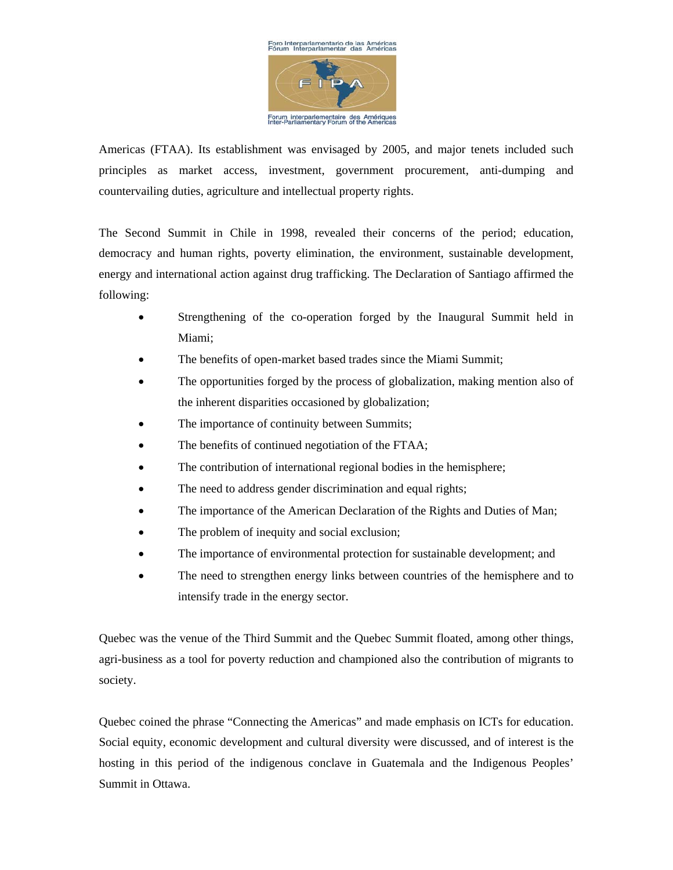

Americas (FTAA). Its establishment was envisaged by 2005, and major tenets included such principles as market access, investment, government procurement, anti-dumping and countervailing duties, agriculture and intellectual property rights.

The Second Summit in Chile in 1998, revealed their concerns of the period; education, democracy and human rights, poverty elimination, the environment, sustainable development, energy and international action against drug trafficking. The Declaration of Santiago affirmed the following:

- Strengthening of the co-operation forged by the Inaugural Summit held in Miami;
- The benefits of open-market based trades since the Miami Summit;
- The opportunities forged by the process of globalization, making mention also of the inherent disparities occasioned by globalization;
- The importance of continuity between Summits;
- The benefits of continued negotiation of the FTAA;
- The contribution of international regional bodies in the hemisphere;
- The need to address gender discrimination and equal rights;
- The importance of the American Declaration of the Rights and Duties of Man;
- The problem of inequity and social exclusion;
- The importance of environmental protection for sustainable development; and
- The need to strengthen energy links between countries of the hemisphere and to intensify trade in the energy sector.

Quebec was the venue of the Third Summit and the Quebec Summit floated, among other things, agri-business as a tool for poverty reduction and championed also the contribution of migrants to society.

Quebec coined the phrase "Connecting the Americas" and made emphasis on ICTs for education. Social equity, economic development and cultural diversity were discussed, and of interest is the hosting in this period of the indigenous conclave in Guatemala and the Indigenous Peoples' Summit in Ottawa.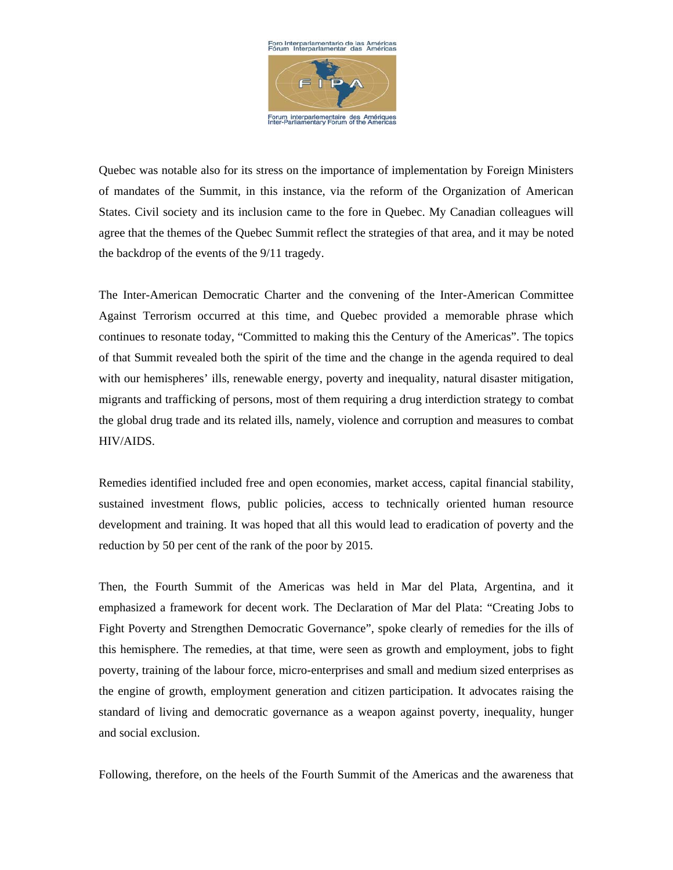

Quebec was notable also for its stress on the importance of implementation by Foreign Ministers of mandates of the Summit, in this instance, via the reform of the Organization of American States. Civil society and its inclusion came to the fore in Quebec. My Canadian colleagues will agree that the themes of the Quebec Summit reflect the strategies of that area, and it may be noted the backdrop of the events of the 9/11 tragedy.

The Inter-American Democratic Charter and the convening of the Inter-American Committee Against Terrorism occurred at this time, and Quebec provided a memorable phrase which continues to resonate today, "Committed to making this the Century of the Americas". The topics of that Summit revealed both the spirit of the time and the change in the agenda required to deal with our hemispheres' ills, renewable energy, poverty and inequality, natural disaster mitigation, migrants and trafficking of persons, most of them requiring a drug interdiction strategy to combat the global drug trade and its related ills, namely, violence and corruption and measures to combat HIV/AIDS.

Remedies identified included free and open economies, market access, capital financial stability, sustained investment flows, public policies, access to technically oriented human resource development and training. It was hoped that all this would lead to eradication of poverty and the reduction by 50 per cent of the rank of the poor by 2015.

Then, the Fourth Summit of the Americas was held in Mar del Plata, Argentina, and it emphasized a framework for decent work. The Declaration of Mar del Plata: "Creating Jobs to Fight Poverty and Strengthen Democratic Governance", spoke clearly of remedies for the ills of this hemisphere. The remedies, at that time, were seen as growth and employment, jobs to fight poverty, training of the labour force, micro-enterprises and small and medium sized enterprises as the engine of growth, employment generation and citizen participation. It advocates raising the standard of living and democratic governance as a weapon against poverty, inequality, hunger and social exclusion.

Following, therefore, on the heels of the Fourth Summit of the Americas and the awareness that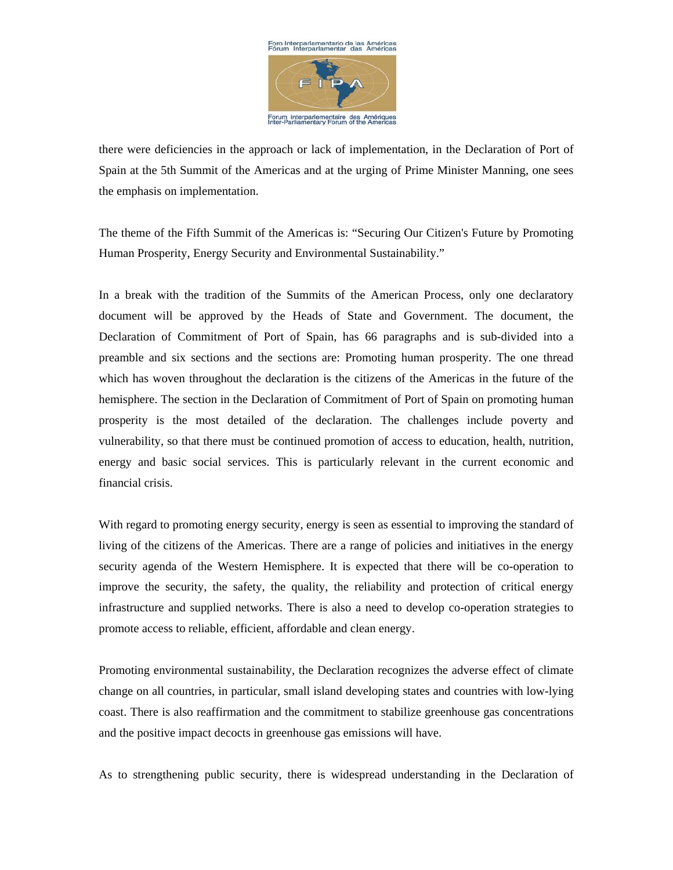

there were deficiencies in the approach or lack of implementation, in the Declaration of Port of Spain at the 5th Summit of the Americas and at the urging of Prime Minister Manning, one sees the emphasis on implementation.

The theme of the Fifth Summit of the Americas is: "Securing Our Citizen's Future by Promoting Human Prosperity, Energy Security and Environmental Sustainability."

In a break with the tradition of the Summits of the American Process, only one declaratory document will be approved by the Heads of State and Government. The document, the Declaration of Commitment of Port of Spain, has 66 paragraphs and is sub-divided into a preamble and six sections and the sections are: Promoting human prosperity. The one thread which has woven throughout the declaration is the citizens of the Americas in the future of the hemisphere. The section in the Declaration of Commitment of Port of Spain on promoting human prosperity is the most detailed of the declaration. The challenges include poverty and vulnerability, so that there must be continued promotion of access to education, health, nutrition, energy and basic social services. This is particularly relevant in the current economic and financial crisis.

With regard to promoting energy security, energy is seen as essential to improving the standard of living of the citizens of the Americas. There are a range of policies and initiatives in the energy security agenda of the Western Hemisphere. It is expected that there will be co-operation to improve the security, the safety, the quality, the reliability and protection of critical energy infrastructure and supplied networks. There is also a need to develop co-operation strategies to promote access to reliable, efficient, affordable and clean energy.

Promoting environmental sustainability, the Declaration recognizes the adverse effect of climate change on all countries, in particular, small island developing states and countries with low-lying coast. There is also reaffirmation and the commitment to stabilize greenhouse gas concentrations and the positive impact decocts in greenhouse gas emissions will have.

As to strengthening public security, there is widespread understanding in the Declaration of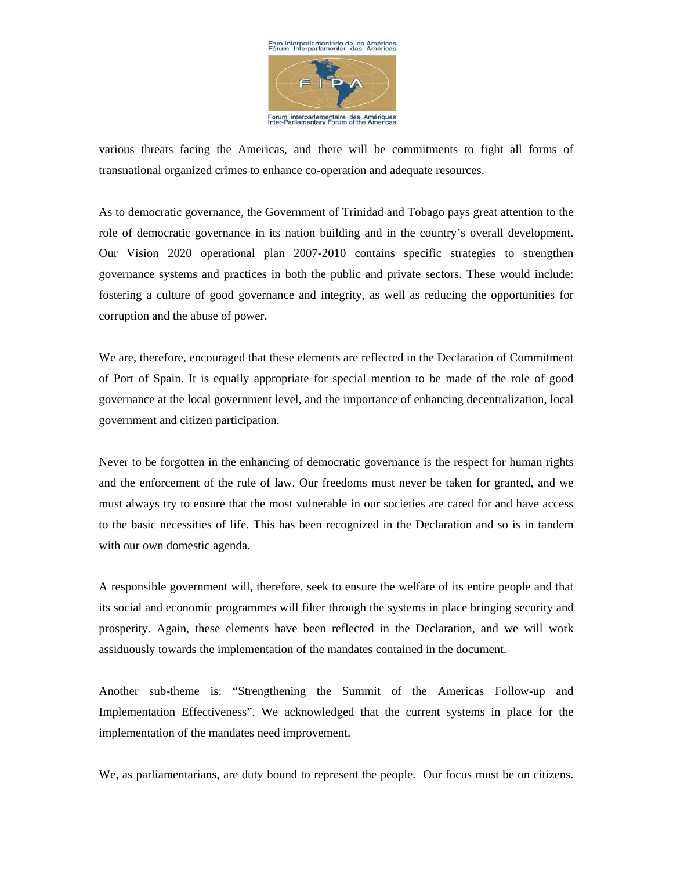

various threats facing the Americas, and there will be commitments to fight all forms of transnational organized crimes to enhance co-operation and adequate resources.

As to democratic governance, the Government of Trinidad and Tobago pays great attention to the role of democratic governance in its nation building and in the country's overall development. Our Vision 2020 operational plan 2007-2010 contains specific strategies to strengthen governance systems and practices in both the public and private sectors. These would include: fostering a culture of good governance and integrity, as well as reducing the opportunities for corruption and the abuse of power.

We are, therefore, encouraged that these elements are reflected in the Declaration of Commitment of Port of Spain. It is equally appropriate for special mention to be made of the role of good governance at the local government level, and the importance of enhancing decentralization, local government and citizen participation.

Never to be forgotten in the enhancing of democratic governance is the respect for human rights and the enforcement of the rule of law. Our freedoms must never be taken for granted, and we must always try to ensure that the most vulnerable in our societies are cared for and have access to the basic necessities of life. This has been recognized in the Declaration and so is in tandem with our own domestic agenda.

A responsible government will, therefore, seek to ensure the welfare of its entire people and that its social and economic programmes will filter through the systems in place bringing security and prosperity. Again, these elements have been reflected in the Declaration, and we will work assiduously towards the implementation of the mandates contained in the document.

Another sub-theme is: "Strengthening the Summit of the Americas Follow-up and Implementation Effectiveness". We acknowledged that the current systems in place for the implementation of the mandates need improvement.

We, as parliamentarians, are duty bound to represent the people. Our focus must be on citizens.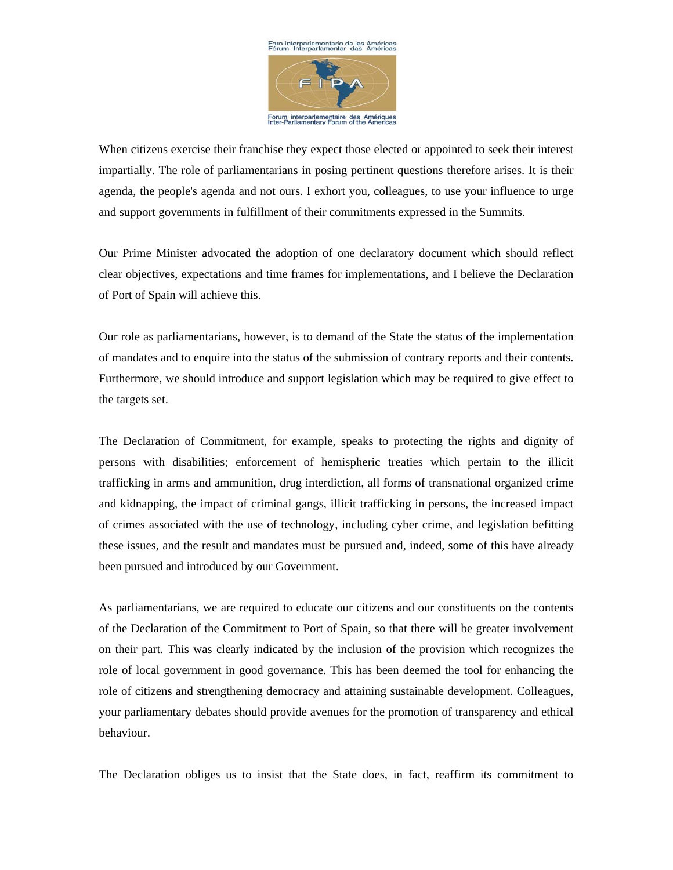

When citizens exercise their franchise they expect those elected or appointed to seek their interest impartially. The role of parliamentarians in posing pertinent questions therefore arises. It is their agenda, the people's agenda and not ours. I exhort you, colleagues, to use your influence to urge and support governments in fulfillment of their commitments expressed in the Summits.

Our Prime Minister advocated the adoption of one declaratory document which should reflect clear objectives, expectations and time frames for implementations, and I believe the Declaration of Port of Spain will achieve this.

Our role as parliamentarians, however, is to demand of the State the status of the implementation of mandates and to enquire into the status of the submission of contrary reports and their contents. Furthermore, we should introduce and support legislation which may be required to give effect to the targets set.

The Declaration of Commitment, for example, speaks to protecting the rights and dignity of persons with disabilities; enforcement of hemispheric treaties which pertain to the illicit trafficking in arms and ammunition, drug interdiction, all forms of transnational organized crime and kidnapping, the impact of criminal gangs, illicit trafficking in persons, the increased impact of crimes associated with the use of technology, including cyber crime, and legislation befitting these issues, and the result and mandates must be pursued and, indeed, some of this have already been pursued and introduced by our Government.

As parliamentarians, we are required to educate our citizens and our constituents on the contents of the Declaration of the Commitment to Port of Spain, so that there will be greater involvement on their part. This was clearly indicated by the inclusion of the provision which recognizes the role of local government in good governance. This has been deemed the tool for enhancing the role of citizens and strengthening democracy and attaining sustainable development. Colleagues, your parliamentary debates should provide avenues for the promotion of transparency and ethical behaviour.

The Declaration obliges us to insist that the State does, in fact, reaffirm its commitment to